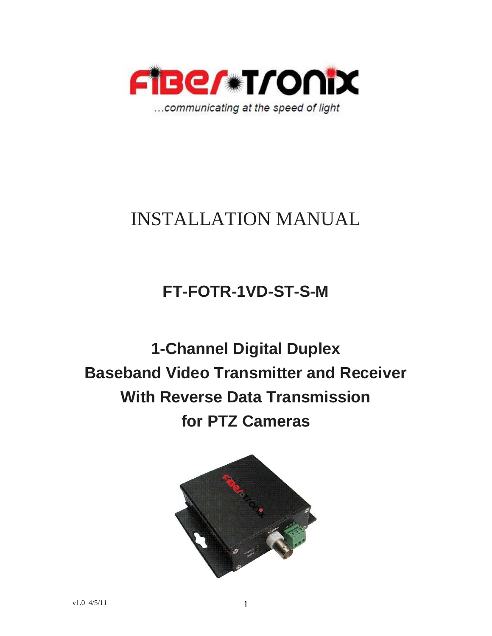

## INSTALLATION MANUAL

## **FT-FOTR-1VD-ST-S-M**

# **1-Channel Digital Duplex Baseband Video Transmitter and Receiver With Reverse Data Transmission for PTZ Cameras**

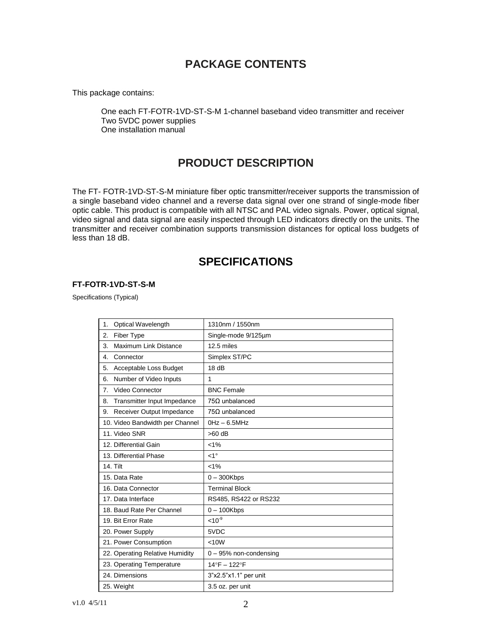### **PACKAGE CONTENTS**

This package contains:

One each FT-FOTR-1VD-ST-S-M 1-channel baseband video transmitter and receiver Two 5VDC power supplies One installation manual

## **PRODUCT DESCRIPTION**

The FT- FOTR-1VD-ST-S-M miniature fiber optic transmitter/receiver supports the transmission of a single baseband video channel and a reverse data signal over one strand of single-mode fiber optic cable. This product is compatible with all NTSC and PAL video signals. Power, optical signal, video signal and data signal are easily inspected through LED indicators directly on the units. The transmitter and receiver combination supports transmission distances for optical loss budgets of less than 18 dB.

### **SPECIFICATIONS**

#### **FT-FOTR-1VD-ST-S-M**

Specifications (Typical)

| Optical Wavelength<br>1.           | 1310nm / 1550nm          |
|------------------------------------|--------------------------|
| Fiber Type<br>2.                   | Single-mode 9/125µm      |
| <b>Maximum Link Distance</b><br>3. | 12.5 miles               |
| Connector<br>4.                    | Simplex ST/PC            |
| Acceptable Loss Budget<br>5.       | 18dB                     |
| Number of Video Inputs<br>6.       | 1                        |
| Video Connector<br>7.              | <b>BNC Female</b>        |
| Transmitter Input Impedance<br>8.  | $75\Omega$ unbalanced    |
| Receiver Output Impedance<br>9.    | $75\Omega$ unbalanced    |
| 10. Video Bandwidth per Channel    | $0Hz - 6.5MHz$           |
| 11. Video SNR                      | $>60$ dB                 |
| 12. Differential Gain              | $< 1\%$                  |
| 13. Differential Phase             | $1^{\circ}$              |
| 14. Tilt                           | $< 1\%$                  |
| 15. Data Rate                      | $0 - 300$ Kbps           |
| 16. Data Connector                 | <b>Terminal Block</b>    |
| 17. Data Interface                 | RS485, RS422 or RS232    |
| 18. Baud Rate Per Channel          | $0 - 100$ Kbps           |
| 19. Bit Error Rate                 | $10^{-9}$                |
| 20. Power Supply                   | 5VDC                     |
| 21. Power Consumption              | < 10W                    |
| 22. Operating Relative Humidity    | $0 - 95%$ non-condensing |
| 23. Operating Temperature          | 14°F - 122°F             |
| 24. Dimensions                     | 3"x2.5"x1.1" per unit    |
| 25. Weight                         | 3.5 oz. per unit         |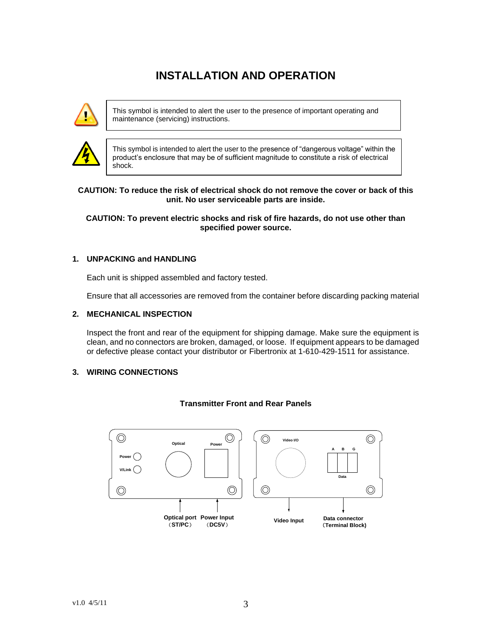## **INSTALLATION AND OPERATION**



This symbol is intended to alert the user to the presence of important operating and maintenance (servicing) instructions.



This symbol is intended to alert the user to the presence of "dangerous voltage" within the product's enclosure that may be of sufficient magnitude to constitute a risk of electrical shock.

#### **CAUTION: To reduce the risk of electrical shock do not remove the cover or back of this unit. No user serviceable parts are inside.**

#### **CAUTION: To prevent electric shocks and risk of fire hazards, do not use other than specified power source.**

#### **1. UNPACKING and HANDLING**

Each unit is shipped assembled and factory tested.

Ensure that all accessories are removed from the container before discarding packing material

#### **2. MECHANICAL INSPECTION**

Inspect the front and rear of the equipment for shipping damage. Make sure the equipment is clean, and no connectors are broken, damaged, or loose. If equipment appears to be damaged or defective please contact your distributor or Fibertronix at 1-610-429-1511 for assistance.

#### **3. WIRING CONNECTIONS**



#### **Transmitter Front and Rear Panels**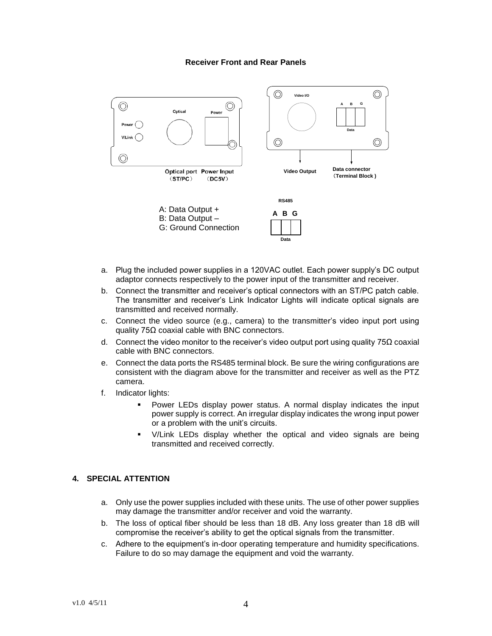#### **Receiver Front and Rear Panels**



- a. Plug the included power supplies in a 120VAC outlet. Each power supply's DC output adaptor connects respectively to the power input of the transmitter and receiver.
- b. Connect the transmitter and receiver's optical connectors with an ST/PC patch cable. The transmitter and receiver's Link Indicator Lights will indicate optical signals are transmitted and received normally.
- c. Connect the video source (e.g., camera) to the transmitter's video input port using quality 75Ω coaxial cable with BNC connectors.
- d. Connect the video monitor to the receiver's video output port using quality 75Ω coaxial cable with BNC connectors.
- e. Connect the data ports the RS485 terminal block. Be sure the wiring configurations are consistent with the diagram above for the transmitter and receiver as well as the PTZ camera.
- f. Indicator lights:
	- Power LEDs display power status. A normal display indicates the input power supply is correct. An irregular display indicates the wrong input power or a problem with the unit's circuits.
	- V/Link LEDs display whether the optical and video signals are being transmitted and received correctly.

#### **4. SPECIAL ATTENTION**

- a. Only use the power supplies included with these units. The use of other power supplies may damage the transmitter and/or receiver and void the warranty.
- b. The loss of optical fiber should be less than 18 dB. Any loss greater than 18 dB will compromise the receiver's ability to get the optical signals from the transmitter.
- c. Adhere to the equipment's in-door operating temperature and humidity specifications. Failure to do so may damage the equipment and void the warranty.